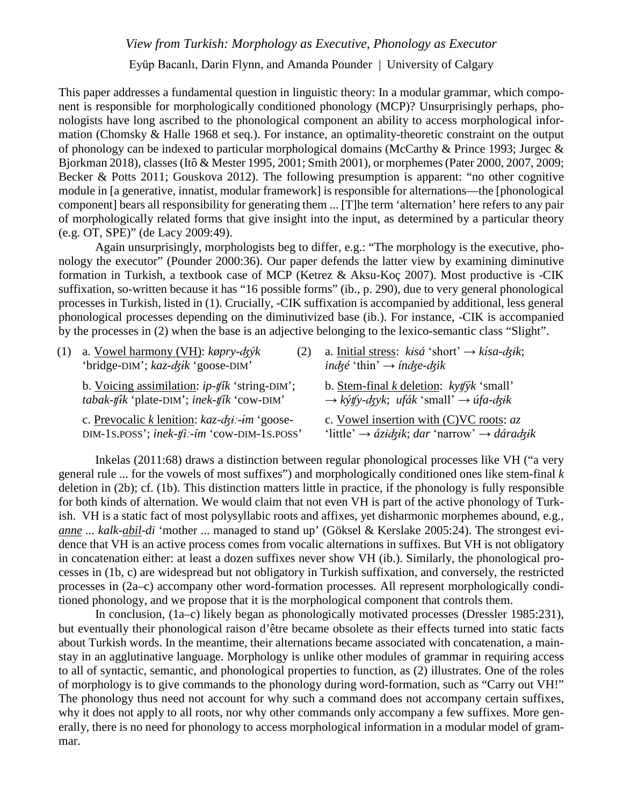*View from Turkish: Morphology as Executive, Phonology as Executor*

Eyüp Bacanlı, Darin Flynn, and Amanda Pounder | University of Calgary

This paper addresses a fundamental question in linguistic theory: In a modular grammar, which component is responsible for morphologically conditioned phonology (MCP)? Unsurprisingly perhaps, phonologists have long ascribed to the phonological component an ability to access morphological information (Chomsky & Halle 1968 et seq.). For instance, an optimality-theoretic constraint on the output of phonology can be indexed to particular morphological domains (McCarthy & Prince 1993; Jurgec & Bjorkman 2018), classes (Itô & Mester 1995, 2001; Smith 2001), or morphemes(Pater 2000, 2007, 2009; Becker & Potts 2011; Gouskova 2012). The following presumption is apparent: "no other cognitive module in [a generative, innatist, modular framework] is responsible for alternations—the [phonological component] bears all responsibility for generating them ... [T]he term 'alternation' here refers to any pair of morphologically related forms that give insight into the input, as determined by a particular theory (e.g. OT, SPE)" (de Lacy 2009:49).

Again unsurprisingly, morphologists beg to differ, e.g.: "The morphology is the executive, phonology the executor" (Pounder 2000:36). Our paper defends the latter view by examining diminutive formation in Turkish, a textbook case of MCP (Ketrez & Aksu-Koç 2007). Most productive is -CIK suffixation, so-written because it has "16 possible forms" (ib., p. 290), due to very general phonological processes in Turkish, listed in (1). Crucially, -CIK suffixation is accompanied by additional, less general phonological processes depending on the diminutivized base (ib.). For instance, -CIK is accompanied by the processes in (2) when the base is an adjective belonging to the lexico-semantic class "Slight".

| (1) a. Vowel harmony (VH): $k\phi pry-dgyk$<br>(2)<br>'bridge-DIM'; $kaz-dzik$ 'goose-DIM'                                    | a. Initial stress: $kisá$ 'short' $\rightarrow kisa \cdot dzik$ ;<br>indzé 'thin' $\rightarrow$ índze-dzik         |
|-------------------------------------------------------------------------------------------------------------------------------|--------------------------------------------------------------------------------------------------------------------|
| b. Voicing assimilation: $ip$ - $fik$ 'string-DIM';<br>$tabak$ - $\mathit{tfik}$ 'plate-DIM'; inek- $\mathit{tfik}$ 'cow-DIM' | b. Stem-final $k$ deletion: $kyf$ 'small'<br>$\rightarrow$ kýtfy-dzyk; ufák 'small' $\rightarrow$ úfa-dzik         |
| c. Prevocalic k lenition: $kaz-dzi$ : -im 'goose-<br>DIM-1s.POSS'; inek-tfi:-im 'cow-DIM-1s.POSS'                             | c. Vowel insertion with $(C)VC$ roots: $az$<br>'little' $\rightarrow$ ázidzik; dar 'narrow' $\rightarrow$ dáradzik |

Inkelas (2011:68) draws a distinction between regular phonological processes like VH ("a very general rule ... for the vowels of most suffixes") and morphologically conditioned ones like stem-final *k* deletion in (2b); cf. (1b). This distinction matters little in practice, if the phonology is fully responsible for both kinds of alternation. We would claim that not even VH is part of the active phonology of Turkish. VH is a static fact of most polysyllabic roots and affixes, yet disharmonic morphemes abound, e.g., *anne ... kalk-abil-di* 'mother ... managed to stand up' (Göksel & Kerslake 2005:24). The strongest evidence that VH is an active process comes from vocalic alternations in suffixes. But VH is not obligatory in concatenation either: at least a dozen suffixes never show VH (ib.). Similarly, the phonological processes in (1b, c) are widespread but not obligatory in Turkish suffixation, and conversely, the restricted processes in (2a–c) accompany other word-formation processes. All represent morphologically conditioned phonology, and we propose that it is the morphological component that controls them.

In conclusion, (1a–c) likely began as phonologically motivated processes (Dressler 1985:231), but eventually their phonological raison d'être became obsolete as their effects turned into static facts about Turkish words. In the meantime, their alternations became associated with concatenation, a mainstay in an agglutinative language. Morphology is unlike other modules of grammar in requiring access to all of syntactic, semantic, and phonological properties to function, as (2) illustrates. One of the roles of morphology is to give commands to the phonology during word-formation, such as "Carry out VH!" The phonology thus need not account for why such a command does not accompany certain suffixes, why it does not apply to all roots, nor why other commands only accompany a few suffixes. More generally, there is no need for phonology to access morphological information in a modular model of grammar.